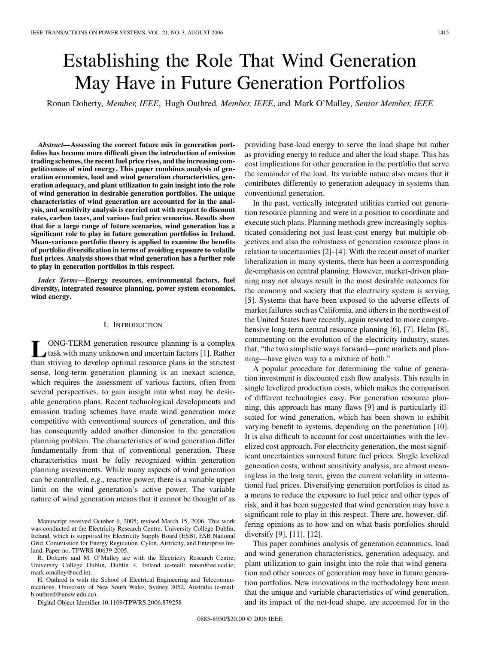# Establishing the Role That Wind Generation May Have in Future Generation Portfolios

Ronan Doherty*, Member, IEEE*, Hugh Outhred*, Member, IEEE*, and Mark O'Malley*, Senior Member, IEEE*

*Abstract—***Assessing the correct future mix in generation portfolios has become more difficult given the introduction of emission trading schemes, the recent fuel price rises, and the increasing competitiveness of wind energy. This paper combines analysis of generation economics, load and wind generation characteristics, generation adequacy, and plant utilization to gain insight into the role of wind generation in desirable generation portfolios. The unique characteristics of wind generation are accounted for in the analysis, and sensitivity analysis is carried out with respect to discount rates, carbon taxes, and various fuel price scenarios. Results show that for a large range of future scenarios, wind generation has a significant role to play in future generation portfolios in Ireland. Mean-variance portfolio theory is applied to examine the benefits of portfolio diversification in terms of avoiding exposure to volatile fuel prices. Analysis shows that wind generation has a further role to play in generation portfolios in this respect.**

*Index Terms—***Energy resources, environmental factors, fuel diversity, integrated resource planning, power system economics, wind energy.**

# I. INTRODUCTION

**LONG-TERM** generation resource planning is a complex<br>task with many unknown and uncertain factors [\[1\].](#page-7-0) Rather than striving to develop optimal resource plans in the strictest sense, long-term generation planning is an inexact science, which requires the assessment of various factors, often from several perspectives, to gain insight into what may be desirable generation plans. Recent technological developments and emission trading schemes have made wind generation more competitive with conventional sources of generation, and this has consequently added another dimension to the generation planning problem. The characteristics of wind generation differ fundamentally from that of conventional generation. These characteristics must be fully recognized within generation planning assessments. While many aspects of wind generation can be controlled, e.g., reactive power, there is a variable upper limit on the wind generation's active power. The variable nature of wind generation means that it cannot be thought of as

Manuscript received October 6, 2005; revised March 15, 2006. This work was conducted at the Electricity Research Centre, University College Dublin, Ireland, which is supported by Electricity Supply Board (ESB), ESB National Grid, Commission for Energy Regulation, Cylon, Airtricity, and Enterprise Ireland. Paper no. TPWRS-00639-2005.

R. Doherty and M. O'Malley are with the Electricity Research Centre, University College Dublin, Dublin 4, Ireland (e-mail: ronan@ee.ucd.ie; mark.omalley@ucd.ie).

H. Outhred is with the School of Electrical Engineering and Telecommunications, University of New South Wales, Sydney 2052, Australia (e-mail: h.outhred@unsw.edu.au).

Digital Object Identifier 10.1109/TPWRS.2006.879258

providing base-load energy to serve the load shape but rather as providing energy to reduce and alter the load shape. This has cost implications for other generation in the portfolio that serve the remainder of the load. Its variable nature also means that it contributes differently to generation adequacy in systems than conventional generation.

In the past, vertically integrated utilities carried out generation resource planning and were in a position to coordinate and execute such plans. Planning methods grew increasingly sophisticated considering not just least-cost energy but multiple objectives and also the robustness of generation resource plans in relation to uncertainties [\[2\]–\[4\].](#page-7-0) With the recent onset of market liberalization in many systems, there has been a corresponding de-emphasis on central planning. However, market-driven planning may not always result in the most desirable outcomes for the economy and society that the electricity system is serving [\[5\].](#page-7-0) Systems that have been exposed to the adverse effects of market failures such as California, and others in the northwest of the United States have recently, again resorted to more comprehensive long-term central resource planning [\[6\]](#page-7-0), [\[7\]](#page-7-0). Helm [\[8\],](#page-7-0) commenting on the evolution of the electricity industry, states that, "the two simplistic ways forward—pure markets and planning—have given way to a mixture of both."

A popular procedure for determining the value of generation investment is discounted cash flow analysis. This results in single levelized production costs, which makes the comparison of different technologies easy. For generation resource planning, this approach has many flaws [\[9\]](#page-7-0) and is particularly illsuited for wind generation, which has been shown to exhibit varying benefit to systems, depending on the penetration [\[10\].](#page-7-0) It is also difficult to account for cost uncertainties with the levelized cost approach. For electricity generation, the most significant uncertainties surround future fuel prices. Single levelized generation costs, without sensitivity analysis, are almost meaningless in the long term, given the current volatility in international fuel prices. Diversifying generation portfolios is cited as a means to reduce the exposure to fuel price and other types of risk, and it has been suggested that wind generation may have a significant role to play in this respect. There are, however, differing opinions as to how and on what basis portfolios should diversify [\[9\], \[11\], \[12\].](#page-7-0)

This paper combines analysis of generation economics, load and wind generation characteristics, generation adequacy, and plant utilization to gain insight into the role that wind generation and other sources of generation may have in future generation portfolios. New innovations in the methodology here mean that the unique and variable characteristics of wind generation, and its impact of the net-load shape, are accounted for in the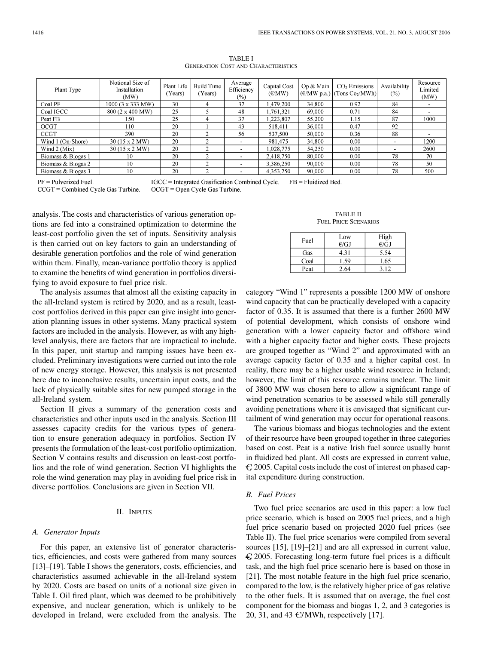| <b>TABLE I</b> |  |  |                                     |  |  |  |  |
|----------------|--|--|-------------------------------------|--|--|--|--|
|                |  |  | GENERATION COST AND CHARACTERISTICS |  |  |  |  |

<span id="page-1-0"></span>

| Plant Type         | Notional Size of<br>Installation<br>(MW) | Plant Life<br>(Years) | <b>Build Time</b><br>(Years) | Average<br>Efficiency<br>$(\%)$ | Capital Cost<br>(E/MW) | Op & Main | $CO2$ Emissions<br>$(\epsilon/MW \text{ p.a.})$ (Tons Co <sub>2</sub> /MWh) | Availability<br>(%)      | Resource<br>Limited<br>(MW) |
|--------------------|------------------------------------------|-----------------------|------------------------------|---------------------------------|------------------------|-----------|-----------------------------------------------------------------------------|--------------------------|-----------------------------|
| Coal PF            | 1000 (3 x 333 MW)                        | 30                    | 4                            | 37                              | 1.479.200              | 34,800    | 0.92                                                                        | 84                       |                             |
| Coal IGCC          | 800 (2 x 400 MW)                         | 25                    |                              | 48                              | 1,761,321              | 69.000    | 0.71                                                                        | 84                       |                             |
| Peat FB            | 150                                      | 25                    |                              | 37                              | 1,223,807              | 55,200    | 1.15                                                                        | 87                       | 1000                        |
| OCGT               | 110                                      | 20                    |                              | 43                              | 518,411                | 36,000    | 0.47                                                                        | 92                       |                             |
| <b>CCGT</b>        | 390                                      | 20                    |                              | 56                              | 537,500                | 50,000    | 0.36                                                                        | 88                       |                             |
| Wind 1 (On-Shore)  | 30 (15 x 2 MW)                           | 20                    |                              | -                               | 981,475                | 34.800    | 0.00                                                                        | $\overline{\phantom{a}}$ | 1200                        |
| Wind $2$ (Mix)     | 30 (15 x 2 MW)                           | 20                    |                              | ۰                               | 1,028,775              | 54,250    | 0.00                                                                        | -                        | 2600                        |
| Biomass & Biogas 1 | 10                                       | 20                    | ◠                            | -                               | 2.418.750              | 80,000    | 0.00                                                                        | 78                       | 70                          |
| Biomass & Biogas 2 | 10                                       | 20                    | ◠                            | ۰                               | 3,386,250              | 90,000    | 0.00                                                                        | 78                       | 50                          |
| Biomass & Biogas 3 | 10                                       | 20                    |                              | -                               | 4,353,750              | 90,000    | 0.00                                                                        | 78                       | 500                         |

 $PF = Pulverized Fuel$ .

CCGT = Combined Cycle Gas Turbine.

IGCC = Integrated Gasification Combined Cycle.  $FB = Fluidized Bed.$ OCGT = Open Cycle Gas Turbine.

analysis. The costs and characteristics of various generation options are fed into a constrained optimization to determine the least-cost portfolio given the set of inputs. Sensitivity analysis is then carried out on key factors to gain an understanding of desirable generation portfolios and the role of wind generation within them. Finally, mean-variance portfolio theory is applied to examine the benefits of wind generation in portfolios diversifying to avoid exposure to fuel price risk.

The analysis assumes that almost all the existing capacity in the all-Ireland system is retired by 2020, and as a result, leastcost portfolios derived in this paper can give insight into generation planning issues in other systems. Many practical system factors are included in the analysis. However, as with any highlevel analysis, there are factors that are impractical to include. In this paper, unit startup and ramping issues have been excluded. Preliminary investigations were carried out into the role of new energy storage. However, this analysis is not presented here due to inconclusive results, uncertain input costs, and the lack of physically suitable sites for new pumped storage in the all-Ireland system.

Section II gives a summary of the generation costs and characteristics and other inputs used in the analysis. [Section III](#page-2-0) assesses capacity credits for the various types of generation to ensure generation adequacy in portfolios. [Section IV](#page-3-0) presents the formulation of the least-cost portfolio optimization. [Section V](#page-4-0) contains results and discussion on least-cost portfolios and the role of wind generation. [Section VI](#page-6-0) highlights the role the wind generation may play in avoiding fuel price risk in diverse portfolios. Conclusions are given in [Section VII.](#page-6-0)

# II. INPUTS

#### *A. Generator Inputs*

For this paper, an extensive list of generator characteristics, efficiencies, and costs were gathered from many sources [\[13\]–\[19\].](#page-7-0) Table I shows the generators, costs, efficiencies, and characteristics assumed achievable in the all-Ireland system by 2020. Costs are based on units of a notional size given in Table I. Oil fired plant, which was deemed to be prohibitively expensive, and nuclear generation, which is unlikely to be developed in Ireland, were excluded from the analysis. The

TABLE II FUEL PRICE SCENARIOS

| Fuel | Low  | High |
|------|------|------|
|      | E/GJ | E/GJ |
| Gas  | 4.31 | 5.54 |
| Coal | 1.59 | 1.65 |
| Peat | 2.64 | 3.12 |

category "Wind 1" represents a possible 1200 MW of onshore wind capacity that can be practically developed with a capacity factor of 0.35. It is assumed that there is a further 2600 MW of potential development, which consists of onshore wind generation with a lower capacity factor and offshore wind with a higher capacity factor and higher costs. These projects are grouped together as "Wind 2" and approximated with an average capacity factor of 0.35 and a higher capital cost. In reality, there may be a higher usable wind resource in Ireland; however, the limit of this resource remains unclear. The limit of 3800 MW was chosen here to allow a significant range of wind penetration scenarios to be assessed while still generally avoiding penetrations where it is envisaged that significant curtailment of wind generation may occur for operational reasons.

The various biomass and biogas technologies and the extent of their resource have been grouped together in three categories based on cost. Peat is a native Irish fuel source usually burnt in fluidized bed plant. All costs are expressed in current value,  $\epsilon$  2005. Capital costs include the cost of interest on phased capital expenditure during construction.

# *B. Fuel Prices*

Two fuel price scenarios are used in this paper: a low fuel price scenario, which is based on 2005 fuel prices, and a high fuel price scenario based on projected 2020 fuel prices (see Table II). The fuel price scenarios were compiled from several sources [\[15\]](#page-7-0), [\[19\]–\[21\]](#page-7-0) and are all expressed in current value,  $\triangle$  2005. Forecasting long-term future fuel prices is a difficult task, and the high fuel price scenario here is based on those in [\[21\]](#page-7-0). The most notable feature in the high fuel price scenario, compared to the low, is the relatively higher price of gas relative to the other fuels. It is assumed that on average, the fuel cost component for the biomass and biogas 1, 2, and 3 categories is 20, 31, and 43  $\epsilon$ /MWh, respectively [\[17\]](#page-7-0).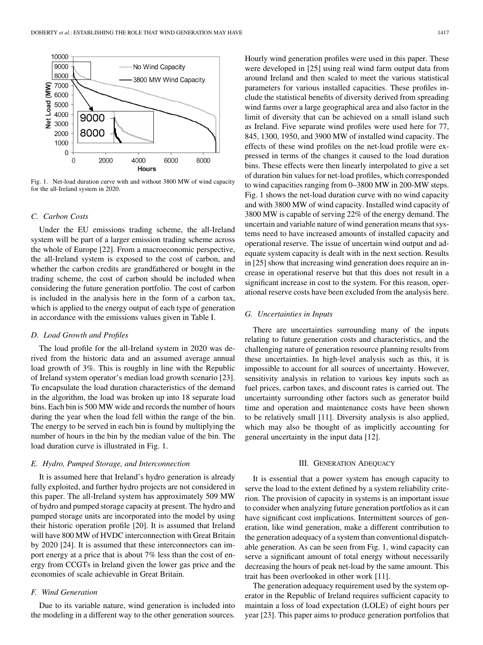<span id="page-2-0"></span>

Fig. 1. Net-load duration curve with and without 3800 MW of wind capacity for the all-Ireland system in 2020.

#### *C. Carbon Costs*

Under the EU emissions trading scheme, the all-Ireland system will be part of a larger emission trading scheme across the whole of Europe [\[22\].](#page-7-0) From a macroeconomic perspective, the all-Ireland system is exposed to the cost of carbon, and whether the carbon credits are grandfathered or bought in the trading scheme, the cost of carbon should be included when considering the future generation portfolio. The cost of carbon is included in the analysis here in the form of a carbon tax, which is applied to the energy output of each type of generation in accordance with the emissions values given in [Table I.](#page-1-0)

# *D. Load Growth and Profiles*

The load profile for the all-Ireland system in 2020 was derived from the historic data and an assumed average annual load growth of 3%. This is roughly in line with the Republic of Ireland system operator's median load growth scenario [\[23\].](#page-7-0) To encapsulate the load duration characteristics of the demand in the algorithm, the load was broken up into 18 separate load bins. Each bin is 500 MW wide and records the number of hours during the year when the load fell within the range of the bin. The energy to be served in each bin is found by multiplying the number of hours in the bin by the median value of the bin. The load duration curve is illustrated in Fig. 1.

## *E. Hydro, Pumped Storage, and Interconnection*

It is assumed here that Ireland's hydro generation is already fully exploited, and further hydro projects are not considered in this paper. The all-Ireland system has approximately 509 MW of hydro and pumped storage capacity at present. The hydro and pumped storage units are incorporated into the model by using their historic operation profile [\[20\].](#page-7-0) It is assumed that Ireland will have 800 MW of HVDC interconnection with Great Britain by 2020 [\[24\].](#page-7-0) It is assumed that these interconnectors can import energy at a price that is about 7% less than the cost of energy from CCGTs in Ireland given the lower gas price and the economies of scale achievable in Great Britain.

# *F. Wind Generation*

Due to its variable nature, wind generation is included into the modeling in a different way to the other generation sources.

Hourly wind generation profiles were used in this paper. These were developed in [\[25\]](#page-7-0) using real wind farm output data from around Ireland and then scaled to meet the various statistical parameters for various installed capacities. These profiles include the statistical benefits of diversity derived from spreading wind farms over a large geographical area and also factor in the limit of diversity that can be achieved on a small island such as Ireland. Five separate wind profiles were used here for 77, 845, 1300, 1950, and 3900 MW of installed wind capacity. The effects of these wind profiles on the net-load profile were expressed in terms of the changes it caused to the load duration bins. These effects were then linearly interpolated to give a set of duration bin values for net-load profiles, which corresponded to wind capacities ranging from 0–3800 MW in 200-MW steps. Fig. 1 shows the net-load duration curve with no wind capacity and with 3800 MW of wind capacity. Installed wind capacity of 3800 MW is capable of serving 22% of the energy demand. The uncertain and variable nature of wind generation means that systems need to have increased amounts of installed capacity and operational reserve. The issue of uncertain wind output and adequate system capacity is dealt with in the next section. Results in [\[25\]](#page-7-0) show that increasing wind generation does require an increase in operational reserve but that this does not result in a significant increase in cost to the system. For this reason, operational reserve costs have been excluded from the analysis here.

#### *G. Uncertainties in Inputs*

There are uncertainties surrounding many of the inputs relating to future generation costs and characteristics, and the challenging nature of generation resource planning results from these uncertainties. In high-level analysis such as this, it is impossible to account for all sources of uncertainty. However, sensitivity analysis in relation to various key inputs such as fuel prices, carbon taxes, and discount rates is carried out. The uncertainty surrounding other factors such as generator build time and operation and maintenance costs have been shown to be relatively small [\[11\]](#page-7-0). Diversity analysis is also applied, which may also be thought of as implicitly accounting for general uncertainty in the input data [\[12\]](#page-7-0).

# III. GENERATION ADEQUACY

It is essential that a power system has enough capacity to serve the load to the extent defined by a system reliability criterion. The provision of capacity in systems is an important issue to consider when analyzing future generation portfolios as it can have significant cost implications. Intermittent sources of generation, like wind generation, make a different contribution to the generation adequacy of a system than conventional dispatchable generation. As can be seen from Fig. 1, wind capacity can serve a significant amount of total energy without necessarily decreasing the hours of peak net-load by the same amount. This trait has been overlooked in other work [\[11\].](#page-7-0)

The generation adequacy requirement used by the system operator in the Republic of Ireland requires sufficient capacity to maintain a loss of load expectation (LOLE) of eight hours per year [\[23\]](#page-7-0). This paper aims to produce generation portfolios that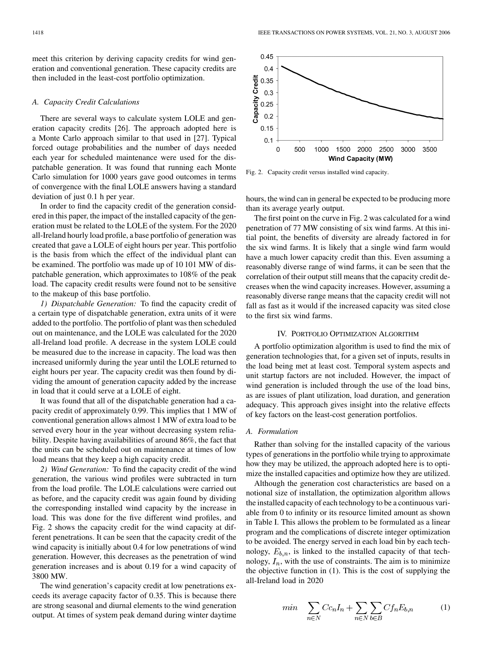<span id="page-3-0"></span>meet this criterion by deriving capacity credits for wind generation and conventional generation. These capacity credits are then included in the least-cost portfolio optimization.

#### *A. Capacity Credit Calculations*

There are several ways to calculate system LOLE and generation capacity credits [\[26\].](#page-7-0) The approach adopted here is a Monte Carlo approach similar to that used in [\[27\].](#page-7-0) Typical forced outage probabilities and the number of days needed each year for scheduled maintenance were used for the dispatchable generation. It was found that running each Monte Carlo simulation for 1000 years gave good outcomes in terms of convergence with the final LOLE answers having a standard deviation of just 0.1 h per year.

In order to find the capacity credit of the generation considered in this paper, the impact of the installed capacity of the generation must be related to the LOLE of the system. For the 2020 all-Ireland hourly load profile, a base portfolio of generation was created that gave a LOLE of eight hours per year. This portfolio is the basis from which the effect of the individual plant can be examined. The portfolio was made up of 10 101 MW of dispatchable generation, which approximates to 108% of the peak load. The capacity credit results were found not to be sensitive to the makeup of this base portfolio.

*1) Dispatchable Generation:* To find the capacity credit of a certain type of dispatchable generation, extra units of it were added to the portfolio. The portfolio of plant was then scheduled out on maintenance, and the LOLE was calculated for the 2020 all-Ireland load profile. A decrease in the system LOLE could be measured due to the increase in capacity. The load was then increased uniformly during the year until the LOLE returned to eight hours per year. The capacity credit was then found by dividing the amount of generation capacity added by the increase in load that it could serve at a LOLE of eight.

It was found that all of the dispatchable generation had a capacity credit of approximately 0.99. This implies that 1 MW of conventional generation allows almost 1 MW of extra load to be served every hour in the year without decreasing system reliability. Despite having availabilities of around 86%, the fact that the units can be scheduled out on maintenance at times of low load means that they keep a high capacity credit.

*2) Wind Generation:* To find the capacity credit of the wind generation, the various wind profiles were subtracted in turn from the load profile. The LOLE calculations were carried out as before, and the capacity credit was again found by dividing the corresponding installed wind capacity by the increase in load. This was done for the five different wind profiles, and Fig. 2 shows the capacity credit for the wind capacity at different penetrations. It can be seen that the capacity credit of the wind capacity is initially about 0.4 for low penetrations of wind generation. However, this decreases as the penetration of wind generation increases and is about 0.19 for a wind capacity of 3800 MW.

The wind generation's capacity credit at low penetrations exceeds its average capacity factor of 0.35. This is because there are strong seasonal and diurnal elements to the wind generation output. At times of system peak demand during winter daytime



Fig. 2. Capacity credit versus installed wind capacity.

hours, the wind can in general be expected to be producing more than its average yearly output.

The first point on the curve in Fig. 2 was calculated for a wind penetration of 77 MW consisting of six wind farms. At this initial point, the benefits of diversity are already factored in for the six wind farms. It is likely that a single wind farm would have a much lower capacity credit than this. Even assuming a reasonably diverse range of wind farms, it can be seen that the correlation of their output still means that the capacity credit decreases when the wind capacity increases. However, assuming a reasonably diverse range means that the capacity credit will not fall as fast as it would if the increased capacity was sited close to the first six wind farms.

# IV. PORTFOLIO OPTIMIZATION ALGORITHM

A portfolio optimization algorithm is used to find the mix of generation technologies that, for a given set of inputs, results in the load being met at least cost. Temporal system aspects and unit startup factors are not included. However, the impact of wind generation is included through the use of the load bins, as are issues of plant utilization, load duration, and generation adequacy. This approach gives insight into the relative effects of key factors on the least-cost generation portfolios.

#### *A. Formulation*

Rather than solving for the installed capacity of the various types of generations in the portfolio while trying to approximate how they may be utilized, the approach adopted here is to optimize the installed capacities and optimize how they are utilized.

Although the generation cost characteristics are based on a notional size of installation, the optimization algorithm allows the installed capacity of each technology to be a continuous variable from 0 to infinity or its resource limited amount as shown in [Table I.](#page-1-0) This allows the problem to be formulated as a linear program and the complications of discrete integer optimization to be avoided. The energy served in each load bin by each technology,  $E_{b,n}$ , is linked to the installed capacity of that technology,  $I_n$ , with the use of constraints. The aim is to minimize the objective function in (1). This is the cost of supplying the all-Ireland load in 2020

$$
min \quad \sum_{n \in N} C c_n I_n + \sum_{n \in N} \sum_{b \in B} C f_n E_{b,n} \tag{1}
$$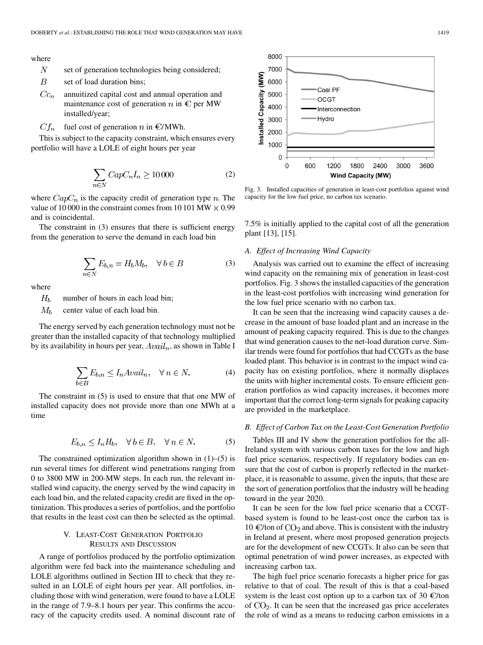<span id="page-4-0"></span>where

- $\boldsymbol{N}$ set of generation technologies being considered;
- $\boldsymbol{B}$ set of load duration bins;
- annuitized capital cost and annual operation and  $Cc_n$ maintenance cost of generation  $n$  in  $\in$  per MW installed/year;

 $Cf_n$ fuel cost of generation n in  $\epsilon$ /MWh.

This is subject to the capacity constraint, which ensures every portfolio will have a LOLE of eight hours per year

$$
\sum_{n \in N} CapC_n I_n \ge 10000 \tag{2}
$$

where  $CapC_n$  is the capacity credit of generation type n. The value of 10 000 in the constraint comes from 10 101 MW  $\times$  0.99 and is coincidental.

The constraint in (3) ensures that there is sufficient energy from the generation to serve the demand in each load bin

$$
\sum_{n \in N} E_{b,n} = H_b M_b, \quad \forall \, b \in B \tag{3}
$$

where

number of hours in each load bin;  $H_b$ 

 $M_b$ center value of each load bin.

The energy served by each generation technology must not be greater than the installed capacity of that technology multiplied by its availability in hours per year,  $Avail_n$ , as shown in [Table I](#page-1-0)

$$
\sum_{b \in B} E_{b,n} \le I_n \text{Avail}_n, \quad \forall n \in N. \tag{4}
$$

The constraint in (5) is used to ensure that that one MW of installed capacity does not provide more than one MWh at a time

$$
E_{b,n} \le I_n H_b, \quad \forall \, b \in B, \quad \forall \, n \in N. \tag{5}
$$

The constrained optimization algorithm shown in  $(1)$ – $(5)$  is run several times for different wind penetrations ranging from 0 to 3800 MW in 200-MW steps. In each run, the relevant installed wind capacity, the energy served by the wind capacity in each load bin, and the related capacity credit are fixed in the optimization. This produces a series of portfolios, and the portfolio that results in the least cost can then be selected as the optimal.

# V. LEAST-COST GENERATION PORTFOLIO RESULTS AND DISCUSSION

A range of portfolios produced by the portfolio optimization algorithm were fed back into the maintenance scheduling and LOLE algorithms outlined in [Section III](#page-2-0) to check that they resulted in an LOLE of eight hours per year. All portfolios, including those with wind generation, were found to have a LOLE in the range of 7.9–8.1 hours per year. This confirms the accuracy of the capacity credits used. A nominal discount rate of



Fig. 3. Installed capacities of generation in least-cost portfolios against wind capacity for the low fuel price, no carbon tax scenario.

7.5% is initially applied to the capital cost of all the generation plant [\[13\], \[15\].](#page-7-0)

# *A. Effect of Increasing Wind Capacity*

Analysis was carried out to examine the effect of increasing wind capacity on the remaining mix of generation in least-cost portfolios. Fig. 3 shows the installed capacities of the generation in the least-cost portfolios with increasing wind generation for the low fuel price scenario with no carbon tax.

It can be seen that the increasing wind capacity causes a decrease in the amount of base loaded plant and an increase in the amount of peaking capacity required. This is due to the changes that wind generation causes to the net-load duration curve. Similar trends were found for portfolios that had CCGTs as the base loaded plant. This behavior is in contrast to the impact wind capacity has on existing portfolios, where it normally displaces the units with higher incremental costs. To ensure efficient generation portfolios as wind capacity increases, it becomes more important that the correct long-term signals for peaking capacity are provided in the marketplace.

# *B. Effect of Carbon Tax on the Least-Cost Generation Portfolio*

[Tables III](#page-5-0) and [IV](#page-5-0) show the generation portfolios for the all-Ireland system with various carbon taxes for the low and high fuel price scenarios, respectively. If regulatory bodies can ensure that the cost of carbon is properly reflected in the marketplace, it is reasonable to assume, given the inputs, that these are the sort of generation portfolios that the industry will be heading toward in the year 2020.

It can be seen for the low fuel price scenario that a CCGTbased system is found to be least-cost once the carbon tax is 10  $\epsilon$ /ton of  $CO<sub>2</sub>$  and above. This is consistent with the industry in Ireland at present, where most proposed generation projects are for the development of new CCGTs. It also can be seen that optimal penetration of wind power increases, as expected with increasing carbon tax.

The high fuel price scenario forecasts a higher price for gas relative to that of coal. The result of this is that a coal-based system is the least cost option up to a carbon tax of 30  $\epsilon$ /ton of  $CO<sub>2</sub>$ . It can be seen that the increased gas price accelerates the role of wind as a means to reducing carbon emissions in a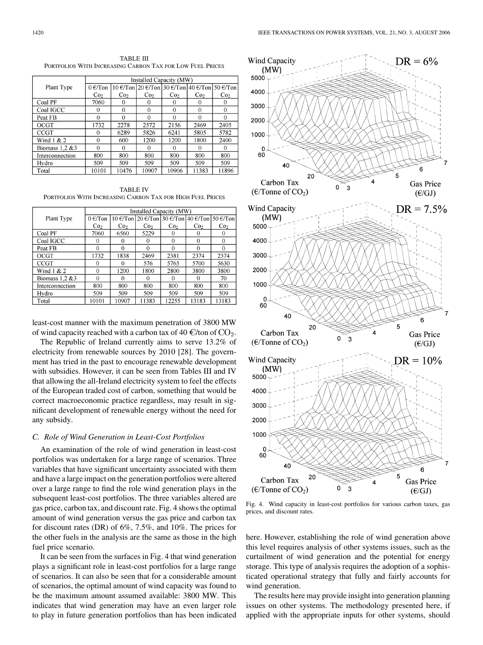<span id="page-5-0"></span>TABLE III PORTFOLIOS WITH INCREASING CARBON TAX FOR LOW FUEL PRICES

|                    | Installed Capacity (MW) |                 |                                              |                 |                 |                 |  |  |
|--------------------|-------------------------|-----------------|----------------------------------------------|-----------------|-----------------|-----------------|--|--|
| Plant Type         | $0 \in T$ on            |                 | 10 €/Ton 20 €/Ton 30 €/Ton 40 €/Ton 50 €/Ton |                 |                 |                 |  |  |
|                    | Co <sub>2</sub>         | Co <sub>2</sub> | Co <sub>2</sub>                              | Co <sub>2</sub> | Co <sub>2</sub> | Co <sub>2</sub> |  |  |
| Coal PF            | 7060                    | $\theta$        | $_{0}$                                       | $\theta$        |                 | 0               |  |  |
| Coal IGCC          | 0                       | $\Omega$        | $\Omega$                                     | $\Omega$        | $\Omega$        | $\Omega$        |  |  |
| Peat FB            | 0                       | $\Omega$        | $\Omega$                                     | $\Omega$        |                 | 0               |  |  |
| OCGT               | 1732                    | 2278            | 2572                                         | 2156            | 2469            | 2405            |  |  |
| <b>CCGT</b>        | 0                       | 6289            | 5826                                         | 6241            | 5805            | 5782            |  |  |
| Wind $1 & 2$       | 0                       | 600             | 1200                                         | 1200            | 1800            | 2400            |  |  |
| Biomass $1,2 \& 3$ | 0                       | 0               | $\Omega$                                     | 0               | $\cup$          | $\Omega$        |  |  |
| Interconnection    | 800                     | 800             | 800                                          | 800             | 800             | 800             |  |  |
| Hydro              | 509                     | 509             | 509                                          | 509             | 509             | 509             |  |  |
| Total              | 10101                   | 10476           | 10907                                        | 10906           | 11383           | 11896           |  |  |

TABLE IV PORTFOLIOS WITH INCREASING CARBON TAX FOR HIGH FUEL PRICES

|                    | Installed Capacity (MW) |                 |                                              |                 |                 |                 |  |
|--------------------|-------------------------|-----------------|----------------------------------------------|-----------------|-----------------|-----------------|--|
| Plant Type         | $0 \in T$ on            |                 | 10 €/Ton 20 €/Ton 30 €/Ton 40 €/Ton 50 €/Ton |                 |                 |                 |  |
|                    | Co <sub>2</sub>         | Co <sub>2</sub> | Co <sub>2</sub>                              | Co <sub>2</sub> | Co <sub>2</sub> | Co <sub>2</sub> |  |
| Coal PF            | 7060                    | 6560            | 5229                                         | $\Omega$        |                 | 0               |  |
| Coal IGCC          |                         | $\theta$        | 0                                            | 0               |                 | 0               |  |
| Peat FB            | 0                       | $\Omega$        | 0                                            | 0               |                 | 0               |  |
| OCGT               | 1732                    | 1838            | 2469                                         | 2381            | 2374            | 2374            |  |
| <b>CCGT</b>        | $\Omega$                | 0               | 576                                          | 5765            | 5700            | 5630            |  |
| Wind $1 & 2$       | $\Omega$                | 1200            | 1800                                         | 2800            | 3800            | 3800            |  |
| Biomass $1,2 \& 3$ | 0                       | 0               | 0                                            | $\Omega$        |                 | 70              |  |
| Interconnection    | 800                     | 800             | 800                                          | 800             | 800             | 800             |  |
| Hydro              | 509                     | 509             | 509                                          | 509             | 509             | 509             |  |
| Total              | 10101                   | 10907           | 11383                                        | 12255           | 13183           | 13183           |  |

least-cost manner with the maximum penetration of 3800 MW of wind capacity reached with a carbon tax of 40  $\epsilon$ /ton of  $CO<sub>2</sub>$ .

The Republic of Ireland currently aims to serve 13.2% of electricity from renewable sources by 2010 [\[28\]](#page-7-0). The government has tried in the past to encourage renewable development with subsidies. However, it can be seen from Tables III and IV that allowing the all-Ireland electricity system to feel the effects of the European traded cost of carbon, something that would be correct macroeconomic practice regardless, may result in significant development of renewable energy without the need for any subsidy.

## *C. Role of Wind Generation in Least-Cost Portfolios*

An examination of the role of wind generation in least-cost portfolios was undertaken for a large range of scenarios. Three variables that have significant uncertainty associated with them and have a large impact on the generation portfolios were altered over a large range to find the role wind generation plays in the subsequent least-cost portfolios. The three variables altered are gas price, carbon tax, and discount rate. Fig. 4 shows the optimal amount of wind generation versus the gas price and carbon tax for discount rates (DR) of 6%, 7.5%, and 10%. The prices for the other fuels in the analysis are the same as those in the high fuel price scenario.

It can be seen from the surfaces in Fig. 4 that wind generation plays a significant role in least-cost portfolios for a large range of scenarios. It can also be seen that for a considerable amount of scenarios, the optimal amount of wind capacity was found to be the maximum amount assumed available: 3800 MW. This indicates that wind generation may have an even larger role to play in future generation portfolios than has been indicated



Fig. 4. Wind capacity in least-cost portfolios for various carbon taxes, gas prices, and discount rates.

here. However, establishing the role of wind generation above this level requires analysis of other systems issues, such as the curtailment of wind generation and the potential for energy storage. This type of analysis requires the adoption of a sophisticated operational strategy that fully and fairly accounts for wind generation.

The results here may provide insight into generation planning issues on other systems. The methodology presented here, if applied with the appropriate inputs for other systems, should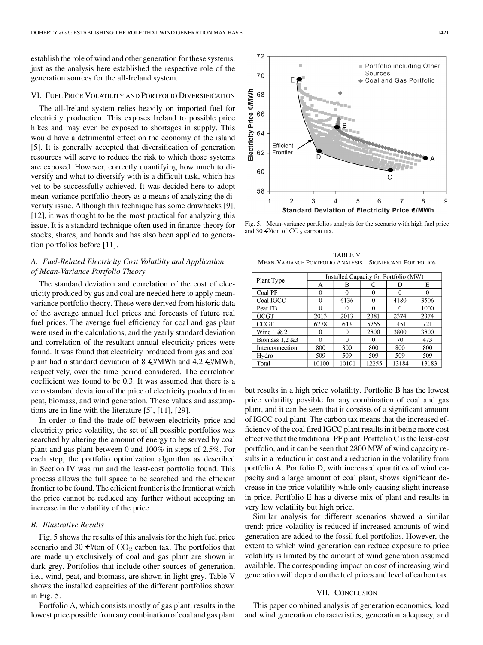<span id="page-6-0"></span>establish the role of wind and other generation for these systems, just as the analysis here established the respective role of the generation sources for the all-Ireland system.

#### VI. FUEL PRICE VOLATILITY AND PORTFOLIO DIVERSIFICATION

The all-Ireland system relies heavily on imported fuel for electricity production. This exposes Ireland to possible price hikes and may even be exposed to shortages in supply. This would have a detrimental effect on the economy of the island [\[5\].](#page-7-0) It is generally accepted that diversification of generation resources will serve to reduce the risk to which those systems are exposed. However, correctly quantifying how much to diversify and what to diversify with is a difficult task, which has yet to be successfully achieved. It was decided here to adopt mean-variance portfolio theory as a means of analyzing the diversity issue. Although this technique has some drawbacks [\[9\],](#page-7-0) [\[12\],](#page-7-0) it was thought to be the most practical for analyzing this issue. It is a standard technique often used in finance theory for stocks, shares, and bonds and has also been applied to generation portfolios before [\[11\].](#page-7-0)

# *A. Fuel-Related Electricity Cost Volatility and Application of Mean-Variance Portfolio Theory*

The standard deviation and correlation of the cost of electricity produced by gas and coal are needed here to apply meanvariance portfolio theory. These were derived from historic data of the average annual fuel prices and forecasts of future real fuel prices. The average fuel efficiency for coal and gas plant were used in the calculations, and the yearly standard deviation and correlation of the resultant annual electricity prices were found. It was found that electricity produced from gas and coal plant had a standard deviation of 8  $\epsilon$ /MWh and 4.2  $\epsilon$ /MWh, respectively, over the time period considered. The correlation coefficient was found to be 0.3. It was assumed that there is a zero standard deviation of the price of electricity produced from peat, biomass, and wind generation. These values and assumptions are in line with the literature [\[5\]](#page-7-0), [\[11\], \[29\].](#page-7-0)

In order to find the trade-off between electricity price and electricity price volatility, the set of all possible portfolios was searched by altering the amount of energy to be served by coal plant and gas plant between 0 and 100% in steps of 2.5%. For each step, the portfolio optimization algorithm as described in [Section IV](#page-3-0) was run and the least-cost portfolio found. This process allows the full space to be searched and the efficient frontier to be found. The efficient frontier is the frontier at which the price cannot be reduced any further without accepting an increase in the volatility of the price.

# *B. Illustrative Results*

Fig. 5 shows the results of this analysis for the high fuel price scenario and 30  $\epsilon$ /ton of  $CO<sub>2</sub>$  carbon tax. The portfolios that are made up exclusively of coal and gas plant are shown in dark grey. Portfolios that include other sources of generation, i.e., wind, peat, and biomass, are shown in light grey. Table V shows the installed capacities of the different portfolios shown in Fig. 5.

Portfolio A, which consists mostly of gas plant, results in the lowest price possible from any combination of coal and gas plant



Fig. 5. Mean-variance portfolios analysis for the scenario with high fuel price and 30  $\in$ /ton of CO<sub>2</sub> carbon tax.

TABLE V MEAN-VARIANCE PORTFOLIO ANALYSIS—SIGNIFICANT PORTFOLIOS

| Plant Type         | Installed Capacity for Portfolio (MW) |       |          |          |       |  |  |
|--------------------|---------------------------------------|-------|----------|----------|-------|--|--|
|                    | А                                     | B     | С        | D        | Е     |  |  |
| Coal PF            | 0                                     | 0     | 0        | 0        |       |  |  |
| Coal IGCC          | 0                                     | 6136  | $\Omega$ | 4180     | 3506  |  |  |
| Peat FB            | ∩                                     |       | 0        | $\Omega$ | 1000  |  |  |
| <b>OCGT</b>        | 2013                                  | 2013  | 2381     | 2374     | 2374  |  |  |
| <b>CCGT</b>        | 6778                                  | 643   | 5765     | 1451     | 721   |  |  |
| Wind $1 & 2$       | $\Omega$                              | 0     | 2800     | 3800     | 3800  |  |  |
| Biomass $1,2 \& 3$ | 0                                     | 0     | 0        | 70       | 473   |  |  |
| Interconnection    | 800                                   | 800   | 800      | 800      | 800   |  |  |
| Hydro              | 509                                   | 509   | 509      | 509      | 509   |  |  |
| Total              | 10100                                 | 10101 | 12255    | 13184    | 13183 |  |  |

but results in a high price volatility. Portfolio B has the lowest price volatility possible for any combination of coal and gas plant, and it can be seen that it consists of a significant amount of IGCC coal plant. The carbon tax means that the increased efficiency of the coal fired IGCC plant results in it being more cost effective that the traditional PF plant. Portfolio C is the least-cost portfolio, and it can be seen that 2800 MW of wind capacity results in a reduction in cost and a reduction in the volatility from portfolio A. Portfolio D, with increased quantities of wind capacity and a large amount of coal plant, shows significant decrease in the price volatility while only causing slight increase in price. Portfolio E has a diverse mix of plant and results in very low volatility but high price.

Similar analysis for different scenarios showed a similar trend: price volatility is reduced if increased amounts of wind generation are added to the fossil fuel portfolios. However, the extent to which wind generation can reduce exposure to price volatility is limited by the amount of wind generation assumed available. The corresponding impact on cost of increasing wind generation will depend on the fuel prices and level of carbon tax.

# VII. CONCLUSION

This paper combined analysis of generation economics, load and wind generation characteristics, generation adequacy, and